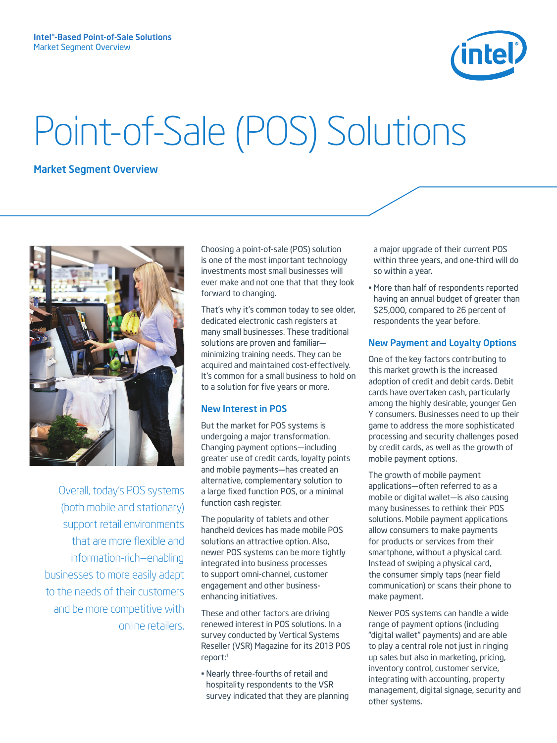

# Point-of-Sale (POS) Solutions

# Market Segment Overview



Overall, today's POS systems (both mobile and stationary) support retail environments that are more flexible and information-rich—enabling businesses to more easily adapt to the needs of their customers and be more competitive with online retailers. Choosing a point-of-sale (POS) solution is one of the most important technology investments most small businesses will ever make and not one that that they look forward to changing.

That's why it's common today to see older, dedicated electronic cash registers at many small businesses. These traditional solutions are proven and familiar minimizing training needs. They can be acquired and maintained cost-effectively. It's common for a small business to hold on to a solution for five years or more.

#### New Interest in POS

But the market for POS systems is undergoing a major transformation. Changing payment options—including greater use of credit cards, loyalty points and mobile payments—has created an alternative, complementary solution to a large fixed function POS, or a minimal function cash register.

The popularity of tablets and other handheld devices has made mobile POS solutions an attractive option. Also, newer POS systems can be more tightly integrated into business processes to support omni-channel, customer engagement and other businessenhancing initiatives.

These and other factors are driving renewed interest in POS solutions. In a survey conducted by Vertical Systems Reseller (VSR) Magazine for its 2013 POS report:1

• Nearly three-fourths of retail and hospitality respondents to the VSR survey indicated that they are planning a major upgrade of their current POS within three years, and one-third will do so within a year.

• More than half of respondents reported having an annual budget of greater than \$25,000, compared to 26 percent of respondents the year before.

## New Payment and Loyalty Options

One of the key factors contributing to this market growth is the increased adoption of credit and debit cards. Debit cards have overtaken cash, particularly among the highly desirable, younger Gen Y consumers. Businesses need to up their game to address the more sophisticated processing and security challenges posed by credit cards, as well as the growth of mobile payment options.

The growth of mobile payment applications—often referred to as a mobile or digital wallet—is also causing many businesses to rethink their POS solutions. Mobile payment applications allow consumers to make payments for products or services from their smartphone, without a physical card. Instead of swiping a physical card, the consumer simply taps (near field communication) or scans their phone to make payment.

Newer POS systems can handle a wide range of payment options (including "digital wallet" payments) and are able to play a central role not just in ringing up sales but also in marketing, pricing, inventory control, customer service, integrating with accounting, property management, digital signage, security and other systems.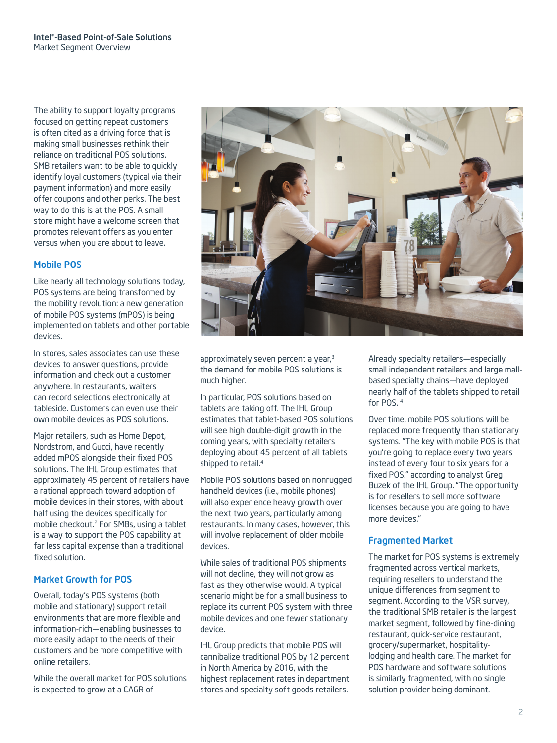The ability to support loyalty programs focused on getting repeat customers is often cited as a driving force that is making small businesses rethink their reliance on traditional POS solutions. SMB retailers want to be able to quickly identify loyal customers (typical via their payment information) and more easily offer coupons and other perks. The best way to do this is at the POS. A small store might have a welcome screen that promotes relevant offers as you enter versus when you are about to leave.

#### Mobile POS

Like nearly all technology solutions today, POS systems are being transformed by the mobility revolution: a new generation of mobile POS systems (mPOS) is being implemented on tablets and other portable devices.

In stores, sales associates can use these devices to answer questions, provide information and check out a customer anywhere. In restaurants, waiters can record selections electronically at tableside. Customers can even use their own mobile devices as POS solutions.

Major retailers, such as Home Depot, Nordstrom, and Gucci, have recently added mPOS alongside their fixed POS solutions. The IHL Group estimates that approximately 45 percent of retailers have a rational approach toward adoption of mobile devices in their stores, with about half using the devices specifically for mobile checkout.2 For SMBs, using a tablet is a way to support the POS capability at far less capital expense than a traditional fixed solution.

## Market Growth for POS

Overall, today's POS systems (both mobile and stationary) support retail environments that are more flexible and information-rich—enabling businesses to more easily adapt to the needs of their customers and be more competitive with online retailers.

While the overall market for POS solutions is expected to grow at a CAGR of



approximately seven percent a year,<sup>3</sup> the demand for mobile POS solutions is much higher.

In particular, POS solutions based on tablets are taking off. The IHL Group estimates that tablet-based POS solutions will see high double-digit growth in the coming years, with specialty retailers deploying about 45 percent of all tablets shipped to retail.<sup>4</sup>

Mobile POS solutions based on nonrugged handheld devices (i.e., mobile phones) will also experience heavy growth over the next two years, particularly among restaurants. In many cases, however, this will involve replacement of older mobile devices.

While sales of traditional POS shipments will not decline, they will not grow as fast as they otherwise would. A typical scenario might be for a small business to replace its current POS system with three mobile devices and one fewer stationary device.

IHL Group predicts that mobile POS will cannibalize traditional POS by 12 percent in North America by 2016, with the highest replacement rates in department stores and specialty soft goods retailers.

Already specialty retailers—especially small independent retailers and large mallbased specialty chains—have deployed nearly half of the tablets shipped to retail for POS. <sup>4</sup>

Over time, mobile POS solutions will be replaced more frequently than stationary systems. "The key with mobile POS is that you're going to replace every two years instead of every four to six years for a fixed POS," according to analyst Greg Buzek of the IHL Group. "The opportunity is for resellers to sell more software licenses because you are going to have more devices."

## Fragmented Market

The market for POS systems is extremely fragmented across vertical markets, requiring resellers to understand the unique differences from segment to segment. According to the VSR survey, the traditional SMB retailer is the largest market segment, followed by fine-dining restaurant, quick-service restaurant, grocery/supermarket, hospitalitylodging and health care. The market for POS hardware and software solutions is similarly fragmented, with no single solution provider being dominant.